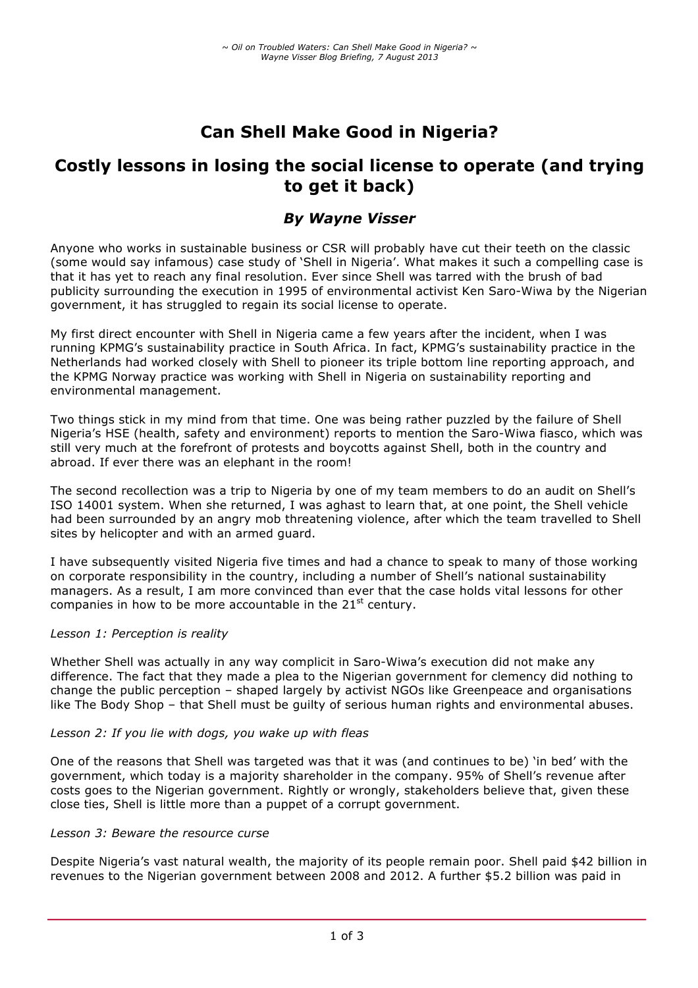# **Can Shell Make Good in Nigeria?**

## **Costly lessons in losing the social license to operate (and trying to get it back)**

## *By Wayne Visser*

Anyone who works in sustainable business or CSR will probably have cut their teeth on the classic (some would say infamous) case study of 'Shell in Nigeria'. What makes it such a compelling case is that it has yet to reach any final resolution. Ever since Shell was tarred with the brush of bad publicity surrounding the execution in 1995 of environmental activist Ken Saro-Wiwa by the Nigerian government, it has struggled to regain its social license to operate.

My first direct encounter with Shell in Nigeria came a few years after the incident, when I was running KPMG's sustainability practice in South Africa. In fact, KPMG's sustainability practice in the Netherlands had worked closely with Shell to pioneer its triple bottom line reporting approach, and the KPMG Norway practice was working with Shell in Nigeria on sustainability reporting and environmental management.

Two things stick in my mind from that time. One was being rather puzzled by the failure of Shell Nigeria's HSE (health, safety and environment) reports to mention the Saro-Wiwa fiasco, which was still very much at the forefront of protests and boycotts against Shell, both in the country and abroad. If ever there was an elephant in the room!

The second recollection was a trip to Nigeria by one of my team members to do an audit on Shell's ISO 14001 system. When she returned, I was aghast to learn that, at one point, the Shell vehicle had been surrounded by an angry mob threatening violence, after which the team travelled to Shell sites by helicopter and with an armed guard.

I have subsequently visited Nigeria five times and had a chance to speak to many of those working on corporate responsibility in the country, including a number of Shell's national sustainability managers. As a result, I am more convinced than ever that the case holds vital lessons for other companies in how to be more accountable in the  $21<sup>st</sup>$  century.

#### *Lesson 1: Perception is reality*

Whether Shell was actually in any way complicit in Saro-Wiwa's execution did not make any difference. The fact that they made a plea to the Nigerian government for clemency did nothing to change the public perception – shaped largely by activist NGOs like Greenpeace and organisations like The Body Shop – that Shell must be guilty of serious human rights and environmental abuses.

#### *Lesson 2: If you lie with dogs, you wake up with fleas*

One of the reasons that Shell was targeted was that it was (and continues to be) 'in bed' with the government, which today is a majority shareholder in the company. 95% of Shell's revenue after costs goes to the Nigerian government. Rightly or wrongly, stakeholders believe that, given these close ties, Shell is little more than a puppet of a corrupt government.

#### *Lesson 3: Beware the resource curse*

Despite Nigeria's vast natural wealth, the majority of its people remain poor. Shell paid \$42 billion in revenues to the Nigerian government between 2008 and 2012. A further \$5.2 billion was paid in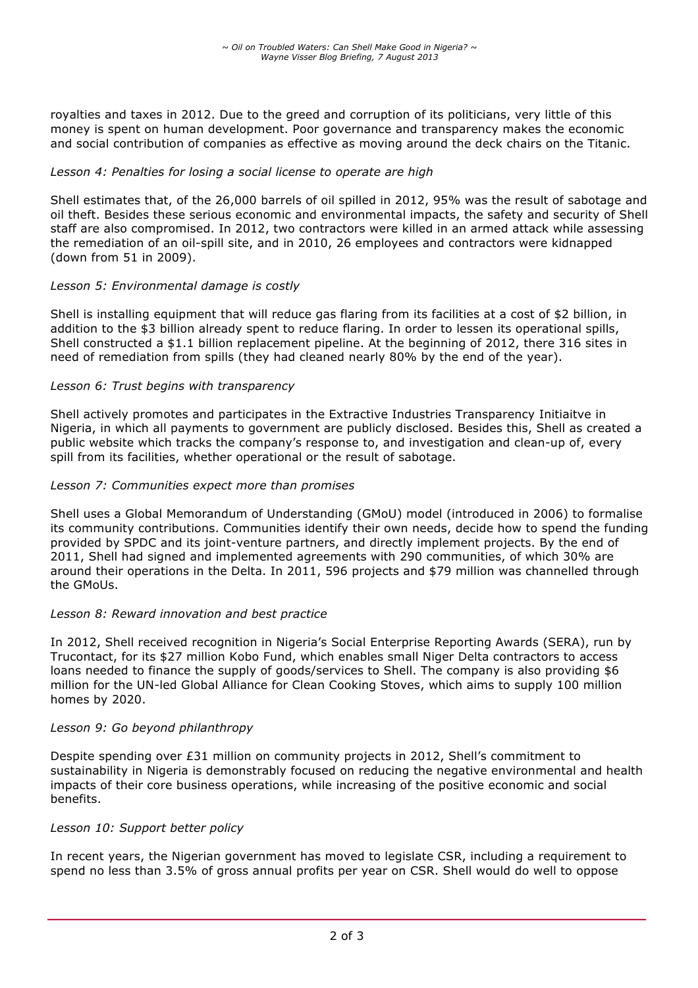royalties and taxes in 2012. Due to the greed and corruption of its politicians, very little of this money is spent on human development. Poor governance and transparency makes the economic and social contribution of companies as effective as moving around the deck chairs on the Titanic.

### *Lesson 4: Penalties for losing a social license to operate are high*

Shell estimates that, of the 26,000 barrels of oil spilled in 2012, 95% was the result of sabotage and oil theft. Besides these serious economic and environmental impacts, the safety and security of Shell staff are also compromised. In 2012, two contractors were killed in an armed attack while assessing the remediation of an oil-spill site, and in 2010, 26 employees and contractors were kidnapped (down from 51 in 2009).

#### *Lesson 5: Environmental damage is costly*

Shell is installing equipment that will reduce gas flaring from its facilities at a cost of \$2 billion, in addition to the \$3 billion already spent to reduce flaring. In order to lessen its operational spills, Shell constructed a \$1.1 billion replacement pipeline. At the beginning of 2012, there 316 sites in need of remediation from spills (they had cleaned nearly 80% by the end of the year).

#### *Lesson 6: Trust begins with transparency*

Shell actively promotes and participates in the Extractive Industries Transparency Initiaitve in Nigeria, in which all payments to government are publicly disclosed. Besides this, Shell as created a public website which tracks the company's response to, and investigation and clean-up of, every spill from its facilities, whether operational or the result of sabotage.

#### *Lesson 7: Communities expect more than promises*

Shell uses a Global Memorandum of Understanding (GMoU) model (introduced in 2006) to formalise its community contributions. Communities identify their own needs, decide how to spend the funding provided by SPDC and its joint-venture partners, and directly implement projects. By the end of 2011, Shell had signed and implemented agreements with 290 communities, of which 30% are around their operations in the Delta. In 2011, 596 projects and \$79 million was channelled through the GMoUs.

#### *Lesson 8: Reward innovation and best practice*

In 2012, Shell received recognition in Nigeria's Social Enterprise Reporting Awards (SERA), run by Trucontact, for its \$27 million Kobo Fund, which enables small Niger Delta contractors to access loans needed to finance the supply of goods/services to Shell. The company is also providing \$6 million for the UN-led Global Alliance for Clean Cooking Stoves, which aims to supply 100 million homes by 2020.

#### *Lesson 9: Go beyond philanthropy*

Despite spending over £31 million on community projects in 2012, Shell's commitment to sustainability in Nigeria is demonstrably focused on reducing the negative environmental and health impacts of their core business operations, while increasing of the positive economic and social benefits.

#### *Lesson 10: Support better policy*

In recent years, the Nigerian government has moved to legislate CSR, including a requirement to spend no less than 3.5% of gross annual profits per year on CSR. Shell would do well to oppose